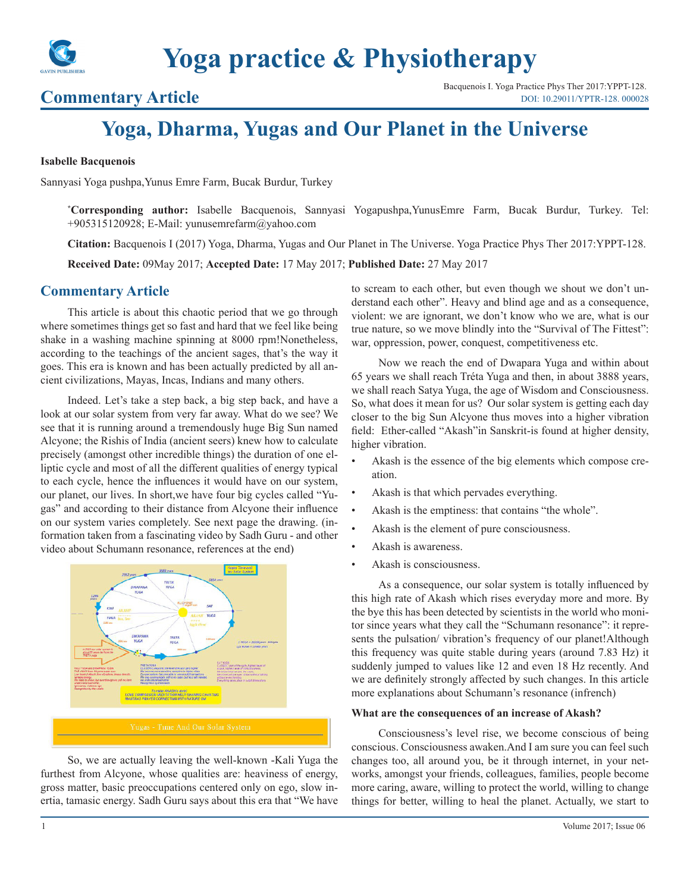

# **Yoga practice & Physiotherapy**

**Commentary Article** Bacquenois I. Yoga Practice Phys Ther 2017:YPPT-128.<br>DOI: 10.29011/YPTR-128. 000028 [DOI: 10.29011/YPTR-128. 000028](http://doi.org/10.29011/YPTR-128. 000028)

## **Yoga, Dharma, Yugas and Our Planet in the Universe**

#### **Isabelle Bacquenois**

Sannyasi Yoga pushpa,Yunus Emre Farm, Bucak Burdur, Turkey

**\* Corresponding author:** Isabelle Bacquenois, Sannyasi Yogapushpa,YunusEmre Farm, Bucak Burdur, Turkey. Tel: +905315120928; E-Mail: yunusemrefarm@yahoo.com

**Citation:** Bacquenois I (2017) Yoga, Dharma, Yugas and Our Planet in The Universe. Yoga Practice Phys Ther 2017:YPPT-128.

**Received Date:** 09May 2017; **Accepted Date:** 17 May 2017; **Published Date:** 27 May 2017

### **Commentary Article**

This article is about this chaotic period that we go through where sometimes things get so fast and hard that we feel like being shake in a washing machine spinning at 8000 rpm!Nonetheless, according to the teachings of the ancient sages, that's the way it goes. This era is known and has been actually predicted by all ancient civilizations, Mayas, Incas, Indians and many others.

Indeed. Let's take a step back, a big step back, and have a look at our solar system from very far away. What do we see? We see that it is running around a tremendously huge Big Sun named Alcyone; the Rishis of India (ancient seers) knew how to calculate precisely (amongst other incredible things) the duration of one elliptic cycle and most of all the different qualities of energy typical to each cycle, hence the influences it would have on our system, our planet, our lives. In short,we have four big cycles called "Yugas" and according to their distance from Alcyone their influence on our system varies completely. See next page the drawing. (information taken from a fascinating video by Sadh Guru - and other video about Schumann resonance, references at the end)



So, we are actually leaving the well-known -Kali Yuga the furthest from Alcyone, whose qualities are: heaviness of energy, gross matter, basic preoccupations centered only on ego, slow inertia, tamasic energy. Sadh Guru says about this era that "We have to scream to each other, but even though we shout we don't understand each other". Heavy and blind age and as a consequence, violent: we are ignorant, we don't know who we are, what is our true nature, so we move blindly into the "Survival of The Fittest": war, oppression, power, conquest, competitiveness etc.

Now we reach the end of Dwapara Yuga and within about 65 years we shall reach Tréta Yuga and then, in about 3888 years, we shall reach Satya Yuga, the age of Wisdom and Consciousness. So, what does it mean for us? Our solar system is getting each day closer to the big Sun Alcyone thus moves into a higher vibration field: Ether-called "Akash"in Sanskrit-is found at higher density, higher vibration.

- Akash is the essence of the big elements which compose creation.
- Akash is that which pervades everything.
- Akash is the emptiness: that contains "the whole".
- Akash is the element of pure consciousness.
- Akash is awareness.
- Akash is consciousness.

As a consequence, our solar system is totally influenced by this high rate of Akash which rises everyday more and more. By the bye this has been detected by scientists in the world who monitor since years what they call the "Schumann resonance": it represents the pulsation/ vibration's frequency of our planet!Although this frequency was quite stable during years (around 7.83 Hz) it suddenly jumped to values like 12 and even 18 Hz recently. And we are definitely strongly affected by such changes. In this article more explanations about Schumann's resonance (infrench)

#### **What are the consequences of an increase of Akash?**

Consciousness's level rise, we become conscious of being conscious. Consciousness awaken.And I am sure you can feel such changes too, all around you, be it through internet, in your networks, amongst your friends, colleagues, families, people become more caring, aware, willing to protect the world, willing to change things for better, willing to heal the planet. Actually, we start to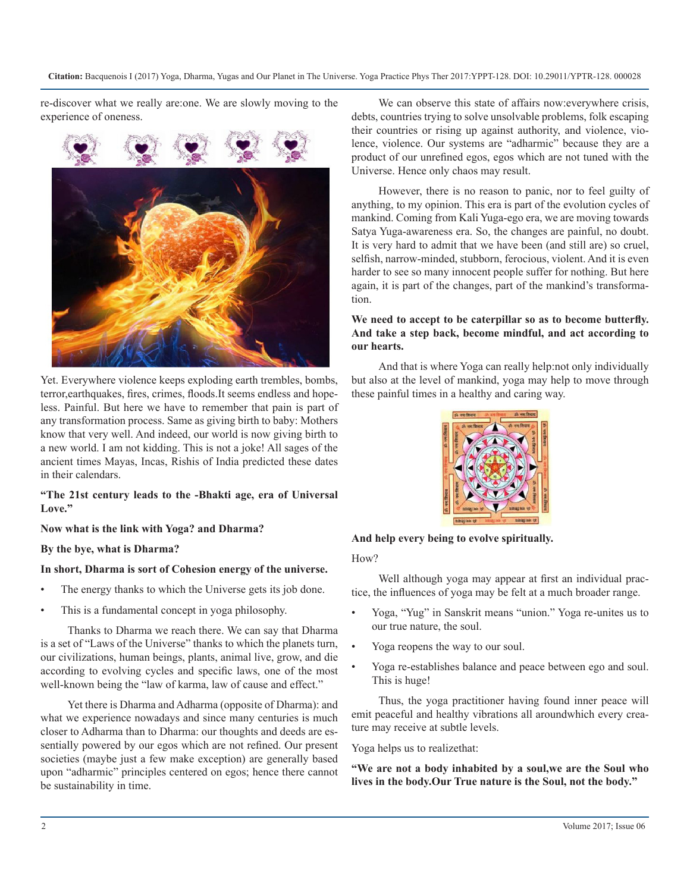**Citation:** Bacquenois I (2017) Yoga, Dharma, Yugas and Our Planet in The Universe. Yoga Practice Phys Ther 2017:YPPT-128. DOI: 10.29011/YPTR-128. 000028

re-discover what we really are:one. We are slowly moving to the experience of oneness.



Yet. Everywhere violence keeps exploding earth trembles, bombs, terror,earthquakes, fires, crimes, floods.It seems endless and hopeless. Painful. But here we have to remember that pain is part of any transformation process. Same as giving birth to baby: Mothers know that very well. And indeed, our world is now giving birth to a new world. I am not kidding. This is not a joke! All sages of the ancient times Mayas, Incas, Rishis of India predicted these dates in their calendars.

#### **"The 21st century leads to the -Bhakti age, era of Universal Love."**

#### **Now what is the link with Yoga? and Dharma?**

#### **By the bye, what is Dharma?**

#### **In short, Dharma is sort of Cohesion energy of the universe.**

- The energy thanks to which the Universe gets its job done.
- This is a fundamental concept in yoga philosophy.

Thanks to Dharma we reach there. We can say that Dharma is a set of "Laws of the Universe" thanks to which the planets turn, our civilizations, human beings, plants, animal live, grow, and die according to evolving cycles and specific laws, one of the most well-known being the "law of karma, law of cause and effect."

Yet there is Dharma and Adharma (opposite of Dharma): and what we experience nowadays and since many centuries is much closer to Adharma than to Dharma: our thoughts and deeds are essentially powered by our egos which are not refined. Our present societies (maybe just a few make exception) are generally based upon "adharmic" principles centered on egos; hence there cannot be sustainability in time.

We can observe this state of affairs now:everywhere crisis, debts, countries trying to solve unsolvable problems, folk escaping their countries or rising up against authority, and violence, violence, violence. Our systems are "adharmic" because they are a product of our unrefined egos, egos which are not tuned with the Universe. Hence only chaos may result.

However, there is no reason to panic, nor to feel guilty of anything, to my opinion. This era is part of the evolution cycles of mankind. Coming from Kali Yuga-ego era, we are moving towards Satya Yuga-awareness era. So, the changes are painful, no doubt. It is very hard to admit that we have been (and still are) so cruel, selfish, narrow-minded, stubborn, ferocious, violent. And it is even harder to see so many innocent people suffer for nothing. But here again, it is part of the changes, part of the mankind's transformation.

#### **We need to accept to be caterpillar so as to become butterfly. And take a step back, become mindful, and act according to our hearts.**

And that is where Yoga can really help:not only individually but also at the level of mankind, yoga may help to move through these painful times in a healthy and caring way.



**And help every being to evolve spiritually.**

#### How?

Well although yoga may appear at first an individual practice, the influences of yoga may be felt at a much broader range.

- Yoga, "Yug" in Sanskrit means "union." Yoga re-unites us to our true nature, the soul.
- Yoga reopens the way to our soul.
- Yoga re-establishes balance and peace between ego and soul. This is huge!

Thus, the yoga practitioner having found inner peace will emit peaceful and healthy vibrations all aroundwhich every creature may receive at subtle levels.

Yoga helps us to realizethat:

**"We are not a body inhabited by a soul,we are the Soul who lives in the body.Our True nature is the Soul, not the body."**